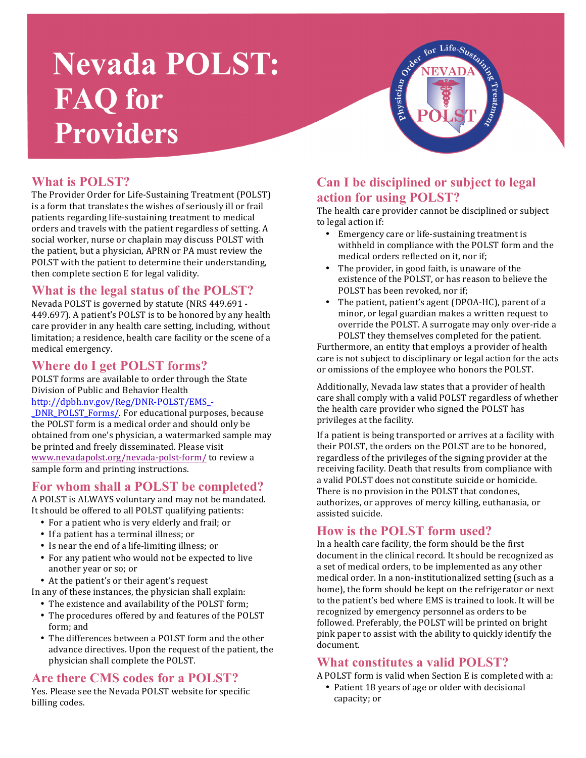# **Nevada POLST: FAQ** for **Providers**



#### **What is POLST?**

The Provider Order for Life-Sustaining Treatment (POLST) is a form that translates the wishes of seriously ill or frail patients regarding life-sustaining treatment to medical orders and travels with the patient regardless of setting. A social worker, nurse or chaplain may discuss POLST with the patient, but a physician, APRN or PA must review the POLST with the patient to determine their understanding, then complete section E for legal validity.

#### **What is the legal status of the POLST?**

Nevada POLST is governed by statute (NRS 449.691 -449.697). A patient's POLST is to be honored by any health care provider in any health care setting, including, without limitation; a residence, health care facility or the scene of a medical emergency.

#### **Where do I get POLST forms?**

POLST forms are available to order through the State Division of Public and Behavior Health 

#### http://dpbh.nv.gov/Reg/DNR-POLST/EMS\_-

\_DNR\_POLST\_Forms/. For educational purposes, because the POLST form is a medical order and should only be obtained from one's physician, a watermarked sample may be printed and freely disseminated. Please visit www.nevadapolst.org/nevada-polst-form/ to review a sample form and printing instructions.

#### **For whom shall a POLST be completed?**

A POLST is ALWAYS voluntary and may not be mandated. It should be offered to all POLST qualifying patients:

- For a patient who is very elderly and frail; or
- If a patient has a terminal illness; or
- Is near the end of a life-limiting illness; or
- For any patient who would not be expected to live another year or so; or
- At the patient's or their agent's request

In any of these instances, the physician shall explain:

- The existence and availability of the POLST form;
- The procedures offered by and features of the POLST form: and
- The differences between a POLST form and the other advance directives. Upon the request of the patient, the physician shall complete the POLST.

#### **Are there CMS codes for a POLST?**

Yes. Please see the Nevada POLST website for specific billing codes.

#### **Can I be disciplined or subject to legal action for using POLST?**

The health care provider cannot be disciplined or subject to legal action if:

- Emergency care or life-sustaining treatment is withheld in compliance with the POLST form and the medical orders reflected on it, nor if;
- The provider, in good faith, is unaware of the existence of the POLST, or has reason to believe the POLST has been revoked, nor if;
- The patient, patient's agent (DPOA-HC), parent of a minor, or legal guardian makes a written request to override the POLST. A surrogate may only over-ride a POLST they themselves completed for the patient.

Furthermore, an entity that employs a provider of health care is not subject to disciplinary or legal action for the acts or omissions of the employee who honors the POLST.

Additionally, Nevada law states that a provider of health care shall comply with a valid POLST regardless of whether the health care provider who signed the POLST has privileges at the facility.

If a patient is being transported or arrives at a facility with their POLST, the orders on the POLST are to be honored, regardless of the privileges of the signing provider at the receiving facility. Death that results from compliance with a valid POLST does not constitute suicide or homicide. There is no provision in the POLST that condones. authorizes, or approves of mercy killing, euthanasia, or assisted suicide.

#### **How is the POLST form used?**

In a health care facility, the form should be the first document in the clinical record. It should be recognized as a set of medical orders, to be implemented as any other medical order. In a non-institutionalized setting (such as a home), the form should be kept on the refrigerator or next to the patient's bed where EMS is trained to look. It will be recognized by emergency personnel as orders to be followed. Preferably, the POLST will be printed on bright pink paper to assist with the ability to quickly identify the document. 

#### **What constitutes a valid POLST?**

- A POLST form is valid when Section E is completed with a:
	- Patient 18 years of age or older with decisional capacity; or